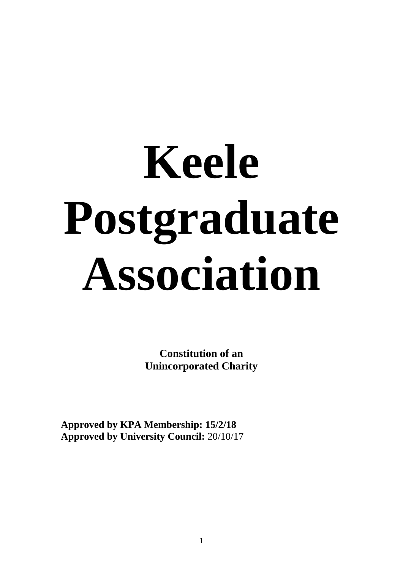# **Keele Postgraduate Association**

**Constitution of an Unincorporated Charity**

**Approved by KPA Membership: 15/2/18 Approved by University Council:** 20/10/17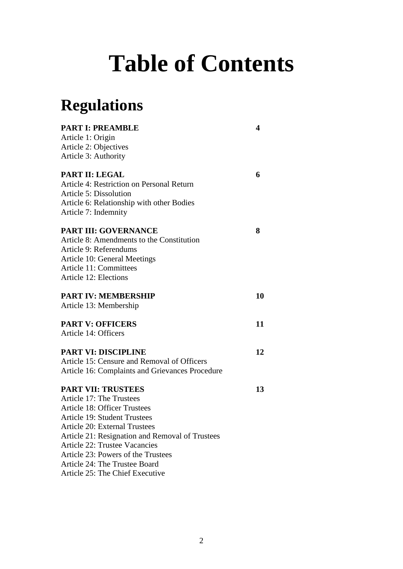# **Table of Contents**

## **Regulations**

| <b>PART I: PREAMBLE</b>                         | 4  |
|-------------------------------------------------|----|
| Article 1: Origin                               |    |
| Article 2: Objectives                           |    |
| Article 3: Authority                            |    |
| <b>PART II: LEGAL</b>                           | 6  |
| Article 4: Restriction on Personal Return       |    |
| <b>Article 5: Dissolution</b>                   |    |
| Article 6: Relationship with other Bodies       |    |
| Article 7: Indemnity                            |    |
| <b>PART III: GOVERNANCE</b>                     | 8  |
| Article 8: Amendments to the Constitution       |    |
| Article 9: Referendums                          |    |
| Article 10: General Meetings                    |    |
| <b>Article 11: Committees</b>                   |    |
| <b>Article 12: Elections</b>                    |    |
| <b>PART IV: MEMBERSHIP</b>                      | 10 |
| Article 13: Membership                          |    |
| <b>PART V: OFFICERS</b>                         | 11 |
| Article 14: Officers                            |    |
| <b>PART VI: DISCIPLINE</b>                      | 12 |
| Article 15: Censure and Removal of Officers     |    |
| Article 16: Complaints and Grievances Procedure |    |
| <b>PART VII: TRUSTEES</b>                       | 13 |
| Article 17: The Trustees                        |    |
| <b>Article 18: Officer Trustees</b>             |    |
| <b>Article 19: Student Trustees</b>             |    |
| <b>Article 20: External Trustees</b>            |    |
| Article 21: Resignation and Removal of Trustees |    |
| <b>Article 22: Trustee Vacancies</b>            |    |
| Article 23: Powers of the Trustees              |    |
| Article 24: The Trustee Board                   |    |

#### Article 25: The Chief Executive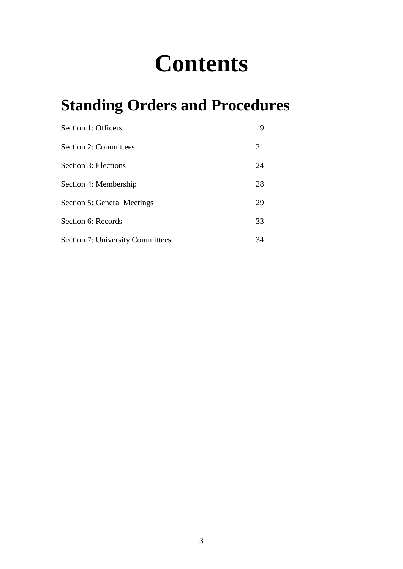# **Contents**

# **Standing Orders and Procedures**

| Section 1: Officers                     | 19 |
|-----------------------------------------|----|
| <b>Section 2: Committees</b>            | 21 |
| Section 3: Elections                    | 24 |
| Section 4: Membership                   | 28 |
| Section 5: General Meetings             | 29 |
| Section 6: Records                      | 33 |
| <b>Section 7: University Committees</b> | 34 |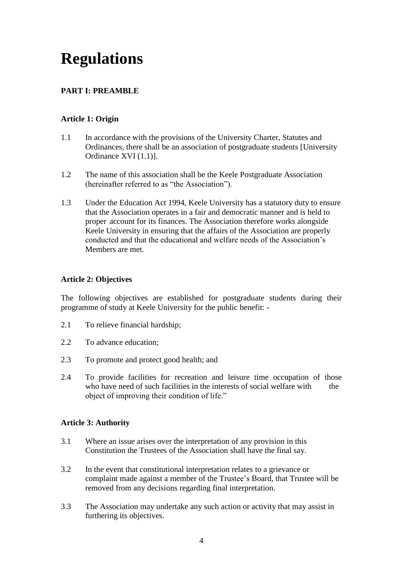### **Regulations**

#### **PART I: PREAMBLE**

#### **Article 1: Origin**

- 1.1 In accordance with the provisions of the University Charter, Statutes and Ordinances, there shall be an association of postgraduate students [University Ordinance XVI (1.1)].
- 1.2 The name of this association shall be the Keele Postgraduate Association (hereinafter referred to as "the Association").
- 1.3 Under the Education Act 1994, Keele University has a statutory duty to ensure that the Association operates in a fair and democratic manner and is held to proper account for its finances. The Association therefore works alongside Keele University in ensuring that the affairs of the Association are properly conducted and that the educational and welfare needs of the Association's Members are met.

#### **Article 2: Objectives**

The following objectives are established for postgraduate students during their programme of study at Keele University for the public benefit: -

- 2.1 To relieve financial hardship;
- 2.2 To advance education;
- 2.3 To promote and protect good health; and
- 2.4 To provide facilities for recreation and leisure time occupation of those who have need of such facilities in the interests of social welfare with the object of improving their condition of life."

#### **Article 3: Authority**

- 3.1 Where an issue arises over the interpretation of any provision in this Constitution the Trustees of the Association shall have the final say.
- 3.2 In the event that constitutional interpretation relates to a grievance or complaint made against a member of the Trustee's Board, that Trustee will be removed from any decisions regarding final interpretation.
- 3.3 The Association may undertake any such action or activity that may assist in furthering its objectives.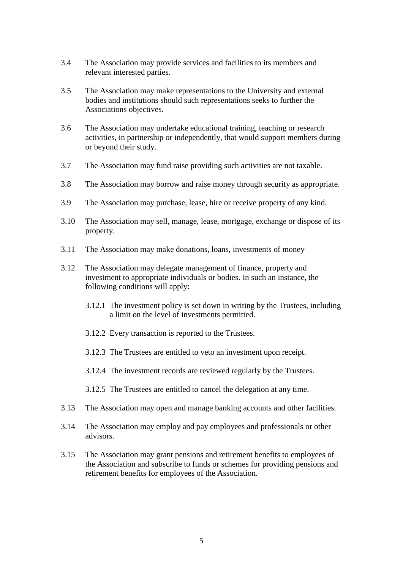- 3.4 The Association may provide services and facilities to its members and relevant interested parties.
- 3.5 The Association may make representations to the University and external bodies and institutions should such representations seeks to further the Associations objectives.
- 3.6 The Association may undertake educational training, teaching or research activities, in partnership or independently, that would support members during or beyond their study.
- 3.7 The Association may fund raise providing such activities are not taxable.
- 3.8 The Association may borrow and raise money through security as appropriate.
- 3.9 The Association may purchase, lease, hire or receive property of any kind.
- 3.10 The Association may sell, manage, lease, mortgage, exchange or dispose of its property.
- 3.11 The Association may make donations, loans, investments of money
- 3.12 The Association may delegate management of finance, property and investment to appropriate individuals or bodies. In such an instance, the following conditions will apply:
	- 3.12.1 The investment policy is set down in writing by the Trustees, including a limit on the level of investments permitted.
	- 3.12.2 Every transaction is reported to the Trustees.
	- 3.12.3 The Trustees are entitled to veto an investment upon receipt.
	- 3.12.4 The investment records are reviewed regularly by the Trustees.
	- 3.12.5 The Trustees are entitled to cancel the delegation at any time.
- 3.13 The Association may open and manage banking accounts and other facilities.
- 3.14 The Association may employ and pay employees and professionals or other advisors.
- 3.15 The Association may grant pensions and retirement benefits to employees of the Association and subscribe to funds or schemes for providing pensions and retirement benefits for employees of the Association.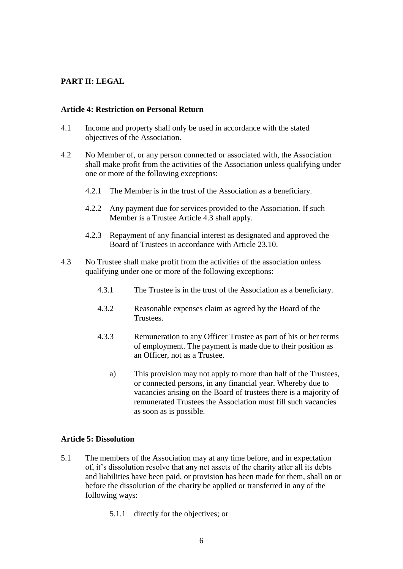#### **PART II: LEGAL**

#### **Article 4: Restriction on Personal Return**

- 4.1 Income and property shall only be used in accordance with the stated objectives of the Association.
- 4.2 No Member of, or any person connected or associated with, the Association shall make profit from the activities of the Association unless qualifying under one or more of the following exceptions:
	- 4.2.1 The Member is in the trust of the Association as a beneficiary.
	- 4.2.2 Any payment due for services provided to the Association. If such Member is a Trustee Article 4.3 shall apply.
	- 4.2.3 Repayment of any financial interest as designated and approved the Board of Trustees in accordance with Article 23.10.
- 4.3 No Trustee shall make profit from the activities of the association unless qualifying under one or more of the following exceptions:
	- 4.3.1 The Trustee is in the trust of the Association as a beneficiary.
	- 4.3.2 Reasonable expenses claim as agreed by the Board of the Trustees.
	- 4.3.3 Remuneration to any Officer Trustee as part of his or her terms of employment. The payment is made due to their position as an Officer, not as a Trustee.
		- a) This provision may not apply to more than half of the Trustees, or connected persons, in any financial year. Whereby due to vacancies arising on the Board of trustees there is a majority of remunerated Trustees the Association must fill such vacancies as soon as is possible.

#### **Article 5: Dissolution**

- 5.1 The members of the Association may at any time before, and in expectation of, it's dissolution resolve that any net assets of the charity after all its debts and liabilities have been paid, or provision has been made for them, shall on or before the dissolution of the charity be applied or transferred in any of the following ways:
	- 5.1.1 directly for the objectives; or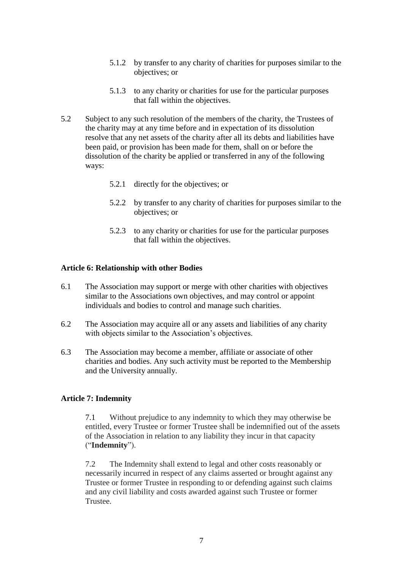- 5.1.2 by transfer to any charity of charities for purposes similar to the objectives; or
- 5.1.3 to any charity or charities for use for the particular purposes that fall within the objectives.
- 5.2 Subject to any such resolution of the members of the charity, the Trustees of the charity may at any time before and in expectation of its dissolution resolve that any net assets of the charity after all its debts and liabilities have been paid, or provision has been made for them, shall on or before the dissolution of the charity be applied or transferred in any of the following ways:
	- 5.2.1 directly for the objectives; or
	- 5.2.2 by transfer to any charity of charities for purposes similar to the objectives; or
	- 5.2.3 to any charity or charities for use for the particular purposes that fall within the objectives.

#### **Article 6: Relationship with other Bodies**

- 6.1 The Association may support or merge with other charities with objectives similar to the Associations own objectives, and may control or appoint individuals and bodies to control and manage such charities.
- 6.2 The Association may acquire all or any assets and liabilities of any charity with objects similar to the Association's objectives.
- 6.3 The Association may become a member, affiliate or associate of other charities and bodies. Any such activity must be reported to the Membership and the University annually.

#### **Article 7: Indemnity**

7.1 Without prejudice to any indemnity to which they may otherwise be entitled, every Trustee or former Trustee shall be indemnified out of the assets of the Association in relation to any liability they incur in that capacity ("**Indemnity**").

7.2 The Indemnity shall extend to legal and other costs reasonably or necessarily incurred in respect of any claims asserted or brought against any Trustee or former Trustee in responding to or defending against such claims and any civil liability and costs awarded against such Trustee or former Trustee.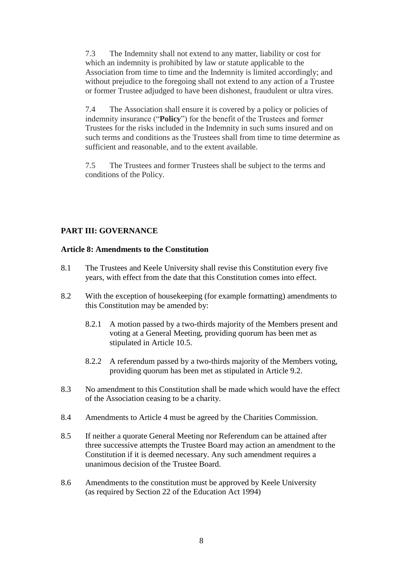7.3 The Indemnity shall not extend to any matter, liability or cost for which an indemnity is prohibited by law or statute applicable to the Association from time to time and the Indemnity is limited accordingly; and without prejudice to the foregoing shall not extend to any action of a Trustee or former Trustee adjudged to have been dishonest, fraudulent or ultra vires.

7.4 The Association shall ensure it is covered by a policy or policies of indemnity insurance ("**Policy**") for the benefit of the Trustees and former Trustees for the risks included in the Indemnity in such sums insured and on such terms and conditions as the Trustees shall from time to time determine as sufficient and reasonable, and to the extent available.

7.5 The Trustees and former Trustees shall be subject to the terms and conditions of the Policy.

#### **PART III: GOVERNANCE**

#### **Article 8: Amendments to the Constitution**

- 8.1 The Trustees and Keele University shall revise this Constitution every five years, with effect from the date that this Constitution comes into effect.
- 8.2 With the exception of housekeeping (for example formatting) amendments to this Constitution may be amended by:
	- 8.2.1 A motion passed by a two-thirds majority of the Members present and voting at a General Meeting, providing quorum has been met as stipulated in Article 10.5.
	- 8.2.2 A referendum passed by a two-thirds majority of the Members voting, providing quorum has been met as stipulated in Article 9.2.
- 8.3 No amendment to this Constitution shall be made which would have the effect of the Association ceasing to be a charity.
- 8.4 Amendments to Article 4 must be agreed by the Charities Commission.
- 8.5 If neither a quorate General Meeting nor Referendum can be attained after three successive attempts the Trustee Board may action an amendment to the Constitution if it is deemed necessary. Any such amendment requires a unanimous decision of the Trustee Board.
- 8.6 Amendments to the constitution must be approved by Keele University (as required by Section 22 of the Education Act 1994)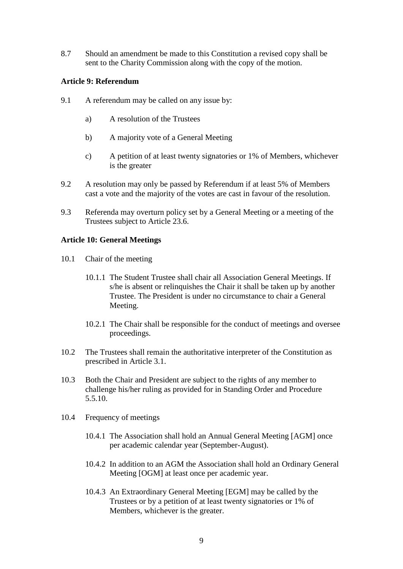8.7 Should an amendment be made to this Constitution a revised copy shall be sent to the Charity Commission along with the copy of the motion.

#### **Article 9: Referendum**

- 9.1 A referendum may be called on any issue by:
	- a) A resolution of the Trustees
	- b) A majority vote of a General Meeting
	- c) A petition of at least twenty signatories or 1% of Members, whichever is the greater
- 9.2 A resolution may only be passed by Referendum if at least 5% of Members cast a vote and the majority of the votes are cast in favour of the resolution.
- 9.3 Referenda may overturn policy set by a General Meeting or a meeting of the Trustees subject to Article 23.6.

#### **Article 10: General Meetings**

- 10.1 Chair of the meeting
	- 10.1.1 The Student Trustee shall chair all Association General Meetings. If s/he is absent or relinquishes the Chair it shall be taken up by another Trustee. The President is under no circumstance to chair a General Meeting.
	- 10.2.1 The Chair shall be responsible for the conduct of meetings and oversee proceedings.
- 10.2 The Trustees shall remain the authoritative interpreter of the Constitution as prescribed in Article 3.1.
- 10.3 Both the Chair and President are subject to the rights of any member to challenge his/her ruling as provided for in Standing Order and Procedure 5.5.10.
- 10.4 Frequency of meetings
	- 10.4.1 The Association shall hold an Annual General Meeting [AGM] once per academic calendar year (September-August).
	- 10.4.2 In addition to an AGM the Association shall hold an Ordinary General Meeting [OGM] at least once per academic year.
	- 10.4.3 An Extraordinary General Meeting [EGM] may be called by the Trustees or by a petition of at least twenty signatories or 1% of Members, whichever is the greater.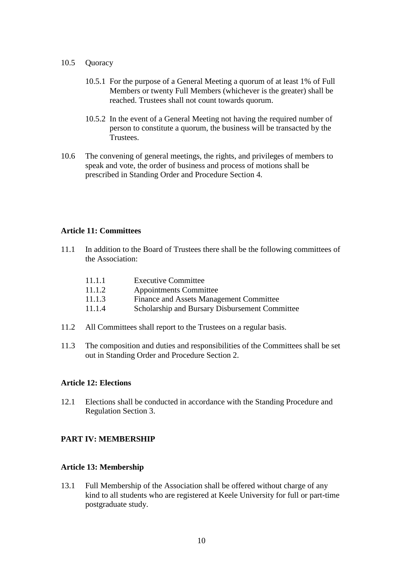- 10.5 Quoracy
	- 10.5.1 For the purpose of a General Meeting a quorum of at least 1% of Full Members or twenty Full Members (whichever is the greater) shall be reached. Trustees shall not count towards quorum.
	- 10.5.2 In the event of a General Meeting not having the required number of person to constitute a quorum, the business will be transacted by the Trustees.
- 10.6 The convening of general meetings, the rights, and privileges of members to speak and vote, the order of business and process of motions shall be prescribed in Standing Order and Procedure Section 4.

#### **Article 11: Committees**

11.1 In addition to the Board of Trustees there shall be the following committees of the Association:

| 11.1.1 | <b>Executive Committee</b>                     |
|--------|------------------------------------------------|
| 11.1.2 | <b>Appointments Committee</b>                  |
| 11.1.3 | Finance and Assets Management Committee        |
| 11.1.4 | Scholarship and Bursary Disbursement Committee |

- 11.2 All Committees shall report to the Trustees on a regular basis.
- 11.3 The composition and duties and responsibilities of the Committees shall be set out in Standing Order and Procedure Section 2.

#### **Article 12: Elections**

12.1 Elections shall be conducted in accordance with the Standing Procedure and Regulation Section 3.

#### **PART IV: MEMBERSHIP**

#### **Article 13: Membership**

13.1 Full Membership of the Association shall be offered without charge of any kind to all students who are registered at Keele University for full or part-time postgraduate study.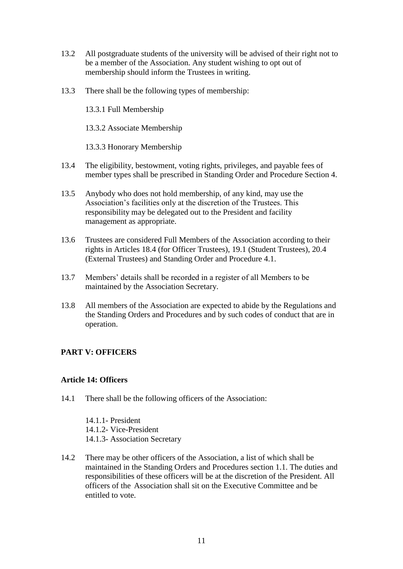- 13.2 All postgraduate students of the university will be advised of their right not to be a member of the Association. Any student wishing to opt out of membership should inform the Trustees in writing.
- 13.3 There shall be the following types of membership:

13.3.1 Full Membership

13.3.2 Associate Membership

13.3.3 Honorary Membership

- 13.4 The eligibility, bestowment, voting rights, privileges, and payable fees of member types shall be prescribed in Standing Order and Procedure Section 4.
- 13.5 Anybody who does not hold membership, of any kind, may use the Association's facilities only at the discretion of the Trustees. This responsibility may be delegated out to the President and facility management as appropriate.
- 13.6 Trustees are considered Full Members of the Association according to their rights in Articles 18.4 (for Officer Trustees), 19.1 (Student Trustees), 20.4 (External Trustees) and Standing Order and Procedure 4.1.
- 13.7 Members' details shall be recorded in a register of all Members to be maintained by the Association Secretary.
- 13.8 All members of the Association are expected to abide by the Regulations and the Standing Orders and Procedures and by such codes of conduct that are in operation.

#### **PART V: OFFICERS**

#### **Article 14: Officers**

14.1 There shall be the following officers of the Association:

14.1.1- President 14.1.2- Vice-President 14.1.3- Association Secretary

14.2 There may be other officers of the Association, a list of which shall be maintained in the Standing Orders and Procedures section 1.1. The duties and responsibilities of these officers will be at the discretion of the President. All officers of the Association shall sit on the Executive Committee and be entitled to vote.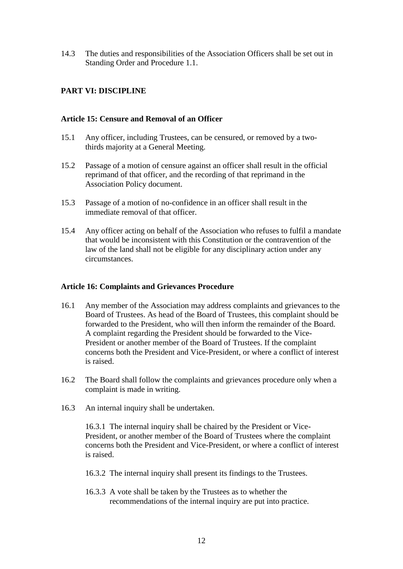14.3 The duties and responsibilities of the Association Officers shall be set out in Standing Order and Procedure 1.1.

#### **PART VI: DISCIPLINE**

#### **Article 15: Censure and Removal of an Officer**

- 15.1 Any officer, including Trustees, can be censured, or removed by a twothirds majority at a General Meeting.
- 15.2 Passage of a motion of censure against an officer shall result in the official reprimand of that officer, and the recording of that reprimand in the Association Policy document.
- 15.3 Passage of a motion of no-confidence in an officer shall result in the immediate removal of that officer.
- 15.4 Any officer acting on behalf of the Association who refuses to fulfil a mandate that would be inconsistent with this Constitution or the contravention of the law of the land shall not be eligible for any disciplinary action under any circumstances.

#### **Article 16: Complaints and Grievances Procedure**

- 16.1 Any member of the Association may address complaints and grievances to the Board of Trustees. As head of the Board of Trustees, this complaint should be forwarded to the President, who will then inform the remainder of the Board. A complaint regarding the President should be forwarded to the Vice-President or another member of the Board of Trustees. If the complaint concerns both the President and Vice-President, or where a conflict of interest is raised.
- 16.2 The Board shall follow the complaints and grievances procedure only when a complaint is made in writing.
- 16.3 An internal inquiry shall be undertaken.

16.3.1 The internal inquiry shall be chaired by the President or Vice-President, or another member of the Board of Trustees where the complaint concerns both the President and Vice-President, or where a conflict of interest is raised.

- 16.3.2 The internal inquiry shall present its findings to the Trustees.
- 16.3.3 A vote shall be taken by the Trustees as to whether the recommendations of the internal inquiry are put into practice.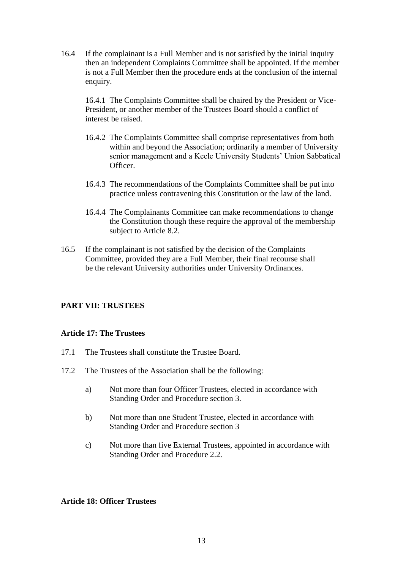16.4 If the complainant is a Full Member and is not satisfied by the initial inquiry then an independent Complaints Committee shall be appointed. If the member is not a Full Member then the procedure ends at the conclusion of the internal enquiry.

16.4.1 The Complaints Committee shall be chaired by the President or Vice-President, or another member of the Trustees Board should a conflict of interest be raised.

- 16.4.2 The Complaints Committee shall comprise representatives from both within and beyond the Association; ordinarily a member of University senior management and a Keele University Students' Union Sabbatical Officer.
- 16.4.3 The recommendations of the Complaints Committee shall be put into practice unless contravening this Constitution or the law of the land.
- 16.4.4 The Complainants Committee can make recommendations to change the Constitution though these require the approval of the membership subject to Article 8.2.
- 16.5 If the complainant is not satisfied by the decision of the Complaints Committee, provided they are a Full Member, their final recourse shall be the relevant University authorities under University Ordinances.

#### **PART VII: TRUSTEES**

#### **Article 17: The Trustees**

- 17.1 The Trustees shall constitute the Trustee Board.
- 17.2 The Trustees of the Association shall be the following:
	- a) Not more than four Officer Trustees, elected in accordance with Standing Order and Procedure section 3.
	- b) Not more than one Student Trustee, elected in accordance with Standing Order and Procedure section 3
	- c) Not more than five External Trustees, appointed in accordance with Standing Order and Procedure 2.2.

#### **Article 18: Officer Trustees**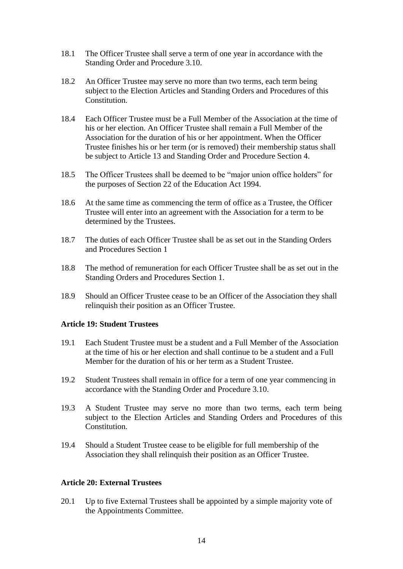- 18.1 The Officer Trustee shall serve a term of one year in accordance with the Standing Order and Procedure 3.10.
- 18.2 An Officer Trustee may serve no more than two terms, each term being subject to the Election Articles and Standing Orders and Procedures of this Constitution.
- 18.4 Each Officer Trustee must be a Full Member of the Association at the time of his or her election. An Officer Trustee shall remain a Full Member of the Association for the duration of his or her appointment. When the Officer Trustee finishes his or her term (or is removed) their membership status shall be subject to Article 13 and Standing Order and Procedure Section 4.
- 18.5 The Officer Trustees shall be deemed to be "major union office holders" for the purposes of Section 22 of the Education Act 1994.
- 18.6 At the same time as commencing the term of office as a Trustee, the Officer Trustee will enter into an agreement with the Association for a term to be determined by the Trustees.
- 18.7 The duties of each Officer Trustee shall be as set out in the Standing Orders and Procedures Section 1
- 18.8 The method of remuneration for each Officer Trustee shall be as set out in the Standing Orders and Procedures Section 1.
- 18.9 Should an Officer Trustee cease to be an Officer of the Association they shall relinquish their position as an Officer Trustee.

#### **Article 19: Student Trustees**

- 19.1 Each Student Trustee must be a student and a Full Member of the Association at the time of his or her election and shall continue to be a student and a Full Member for the duration of his or her term as a Student Trustee.
- 19.2 Student Trustees shall remain in office for a term of one year commencing in accordance with the Standing Order and Procedure 3.10.
- 19.3 A Student Trustee may serve no more than two terms, each term being subject to the Election Articles and Standing Orders and Procedures of this Constitution.
- 19.4 Should a Student Trustee cease to be eligible for full membership of the Association they shall relinquish their position as an Officer Trustee.

#### **Article 20: External Trustees**

20.1 Up to five External Trustees shall be appointed by a simple majority vote of the Appointments Committee.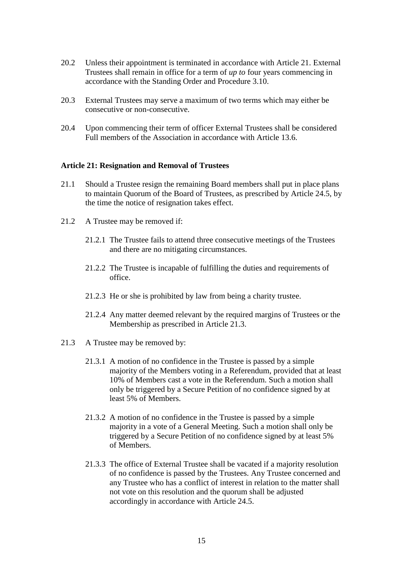- 20.2 Unless their appointment is terminated in accordance with Article 21. External Trustees shall remain in office for a term of *up to* four years commencing in accordance with the Standing Order and Procedure 3.10.
- 20.3 External Trustees may serve a maximum of two terms which may either be consecutive or non-consecutive.
- 20.4 Upon commencing their term of officer External Trustees shall be considered Full members of the Association in accordance with Article 13.6.

#### **Article 21: Resignation and Removal of Trustees**

- 21.1 Should a Trustee resign the remaining Board members shall put in place plans to maintain Quorum of the Board of Trustees, as prescribed by Article 24.5, by the time the notice of resignation takes effect.
- 21.2 A Trustee may be removed if:
	- 21.2.1 The Trustee fails to attend three consecutive meetings of the Trustees and there are no mitigating circumstances.
	- 21.2.2 The Trustee is incapable of fulfilling the duties and requirements of office.
	- 21.2.3 He or she is prohibited by law from being a charity trustee.
	- 21.2.4 Any matter deemed relevant by the required margins of Trustees or the Membership as prescribed in Article 21.3.
- 21.3 A Trustee may be removed by:
	- 21.3.1 A motion of no confidence in the Trustee is passed by a simple majority of the Members voting in a Referendum, provided that at least 10% of Members cast a vote in the Referendum. Such a motion shall only be triggered by a Secure Petition of no confidence signed by at least 5% of Members.
	- 21.3.2 A motion of no confidence in the Trustee is passed by a simple majority in a vote of a General Meeting. Such a motion shall only be triggered by a Secure Petition of no confidence signed by at least 5% of Members.
	- 21.3.3 The office of External Trustee shall be vacated if a majority resolution of no confidence is passed by the Trustees. Any Trustee concerned and any Trustee who has a conflict of interest in relation to the matter shall not vote on this resolution and the quorum shall be adjusted accordingly in accordance with Article 24.5.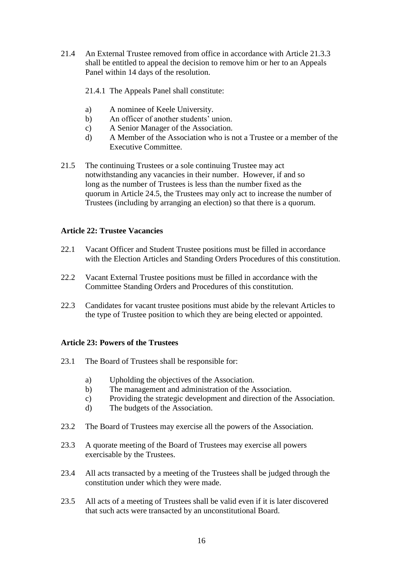- 21.4 An External Trustee removed from office in accordance with Article 21.3.3 shall be entitled to appeal the decision to remove him or her to an Appeals Panel within 14 days of the resolution.
	- 21.4.1 The Appeals Panel shall constitute:
	- a) A nominee of Keele University.
	- b) An officer of another students' union.
	- c) A Senior Manager of the Association.
	- d) A Member of the Association who is not a Trustee or a member of the Executive Committee.
- 21.5 The continuing Trustees or a sole continuing Trustee may act notwithstanding any vacancies in their number. However, if and so long as the number of Trustees is less than the number fixed as the quorum in Article 24.5, the Trustees may only act to increase the number of Trustees (including by arranging an election) so that there is a quorum.

#### **Article 22: Trustee Vacancies**

- 22.1 Vacant Officer and Student Trustee positions must be filled in accordance with the Election Articles and Standing Orders Procedures of this constitution.
- 22.2 Vacant External Trustee positions must be filled in accordance with the Committee Standing Orders and Procedures of this constitution.
- 22.3 Candidates for vacant trustee positions must abide by the relevant Articles to the type of Trustee position to which they are being elected or appointed.

#### **Article 23: Powers of the Trustees**

- 23.1 The Board of Trustees shall be responsible for:
	- a) Upholding the objectives of the Association.
	- b) The management and administration of the Association.
	- c) Providing the strategic development and direction of the Association.
	- d) The budgets of the Association.
- 23.2 The Board of Trustees may exercise all the powers of the Association.
- 23.3 A quorate meeting of the Board of Trustees may exercise all powers exercisable by the Trustees.
- 23.4 All acts transacted by a meeting of the Trustees shall be judged through the constitution under which they were made.
- 23.5 All acts of a meeting of Trustees shall be valid even if it is later discovered that such acts were transacted by an unconstitutional Board.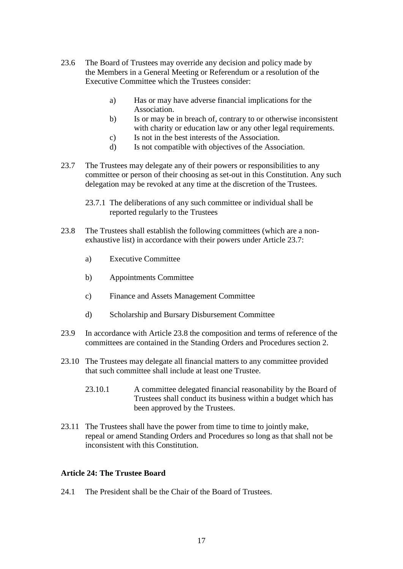- 23.6 The Board of Trustees may override any decision and policy made by the Members in a General Meeting or Referendum or a resolution of the Executive Committee which the Trustees consider:
	- a) Has or may have adverse financial implications for the Association.
	- b) Is or may be in breach of, contrary to or otherwise inconsistent with charity or education law or any other legal requirements.
	- c) Is not in the best interests of the Association.
	- d) Is not compatible with objectives of the Association.
- 23.7 The Trustees may delegate any of their powers or responsibilities to any committee or person of their choosing as set-out in this Constitution. Any such delegation may be revoked at any time at the discretion of the Trustees.
	- 23.7.1 The deliberations of any such committee or individual shall be reported regularly to the Trustees
- 23.8 The Trustees shall establish the following committees (which are a nonexhaustive list) in accordance with their powers under Article 23.7:
	- a) Executive Committee
	- b) Appointments Committee
	- c) Finance and Assets Management Committee
	- d) Scholarship and Bursary Disbursement Committee
- 23.9 In accordance with Article 23.8 the composition and terms of reference of the committees are contained in the Standing Orders and Procedures section 2.
- 23.10 The Trustees may delegate all financial matters to any committee provided that such committee shall include at least one Trustee.
	- 23.10.1 A committee delegated financial reasonability by the Board of Trustees shall conduct its business within a budget which has been approved by the Trustees.
- 23.11 The Trustees shall have the power from time to time to jointly make, repeal or amend Standing Orders and Procedures so long as that shall not be inconsistent with this Constitution.

#### **Article 24: The Trustee Board**

24.1 The President shall be the Chair of the Board of Trustees.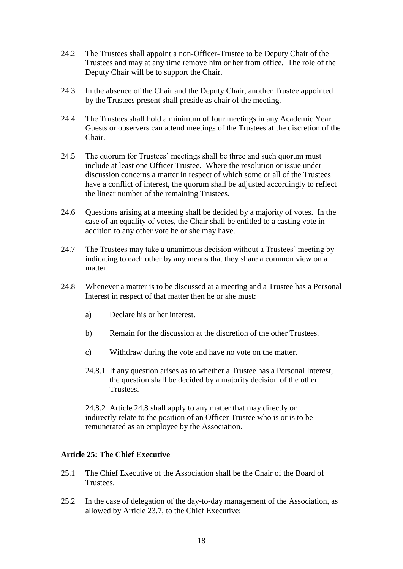- 24.2 The Trustees shall appoint a non-Officer-Trustee to be Deputy Chair of the Trustees and may at any time remove him or her from office. The role of the Deputy Chair will be to support the Chair.
- 24.3 In the absence of the Chair and the Deputy Chair, another Trustee appointed by the Trustees present shall preside as chair of the meeting.
- 24.4 The Trustees shall hold a minimum of four meetings in any Academic Year. Guests or observers can attend meetings of the Trustees at the discretion of the Chair.
- 24.5 The quorum for Trustees' meetings shall be three and such quorum must include at least one Officer Trustee. Where the resolution or issue under discussion concerns a matter in respect of which some or all of the Trustees have a conflict of interest, the quorum shall be adjusted accordingly to reflect the linear number of the remaining Trustees.
- 24.6 Questions arising at a meeting shall be decided by a majority of votes. In the case of an equality of votes, the Chair shall be entitled to a casting vote in addition to any other vote he or she may have.
- 24.7 The Trustees may take a unanimous decision without a Trustees' meeting by indicating to each other by any means that they share a common view on a matter.
- 24.8 Whenever a matter is to be discussed at a meeting and a Trustee has a Personal Interest in respect of that matter then he or she must:
	- a) Declare his or her interest.
	- b) Remain for the discussion at the discretion of the other Trustees.
	- c) Withdraw during the vote and have no vote on the matter.
	- 24.8.1 If any question arises as to whether a Trustee has a Personal Interest, the question shall be decided by a majority decision of the other Trustees.

24.8.2 Article 24.8 shall apply to any matter that may directly or indirectly relate to the position of an Officer Trustee who is or is to be remunerated as an employee by the Association.

#### **Article 25: The Chief Executive**

- 25.1 The Chief Executive of the Association shall be the Chair of the Board of Trustees.
- 25.2 In the case of delegation of the day-to-day management of the Association, as allowed by Article 23.7, to the Chief Executive: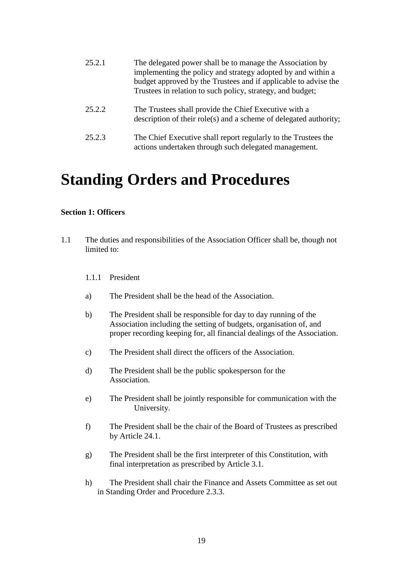| 25.2.1 | The delegated power shall be to manage the Association by<br>implementing the policy and strategy adopted by and within a<br>budget approved by the Trustees and if applicable to advise the<br>Trustees in relation to such policy, strategy, and budget; |
|--------|------------------------------------------------------------------------------------------------------------------------------------------------------------------------------------------------------------------------------------------------------------|
| 25.2.2 | The Trustees shall provide the Chief Executive with a<br>description of their role(s) and a scheme of delegated authority;                                                                                                                                 |
| 25.2.3 | The Chief Executive shall report regularly to the Trustees the<br>actions undertaken through such delegated management.                                                                                                                                    |

### **Standing Orders and Procedures**

#### **Section 1: Officers**

- 1.1 The duties and responsibilities of the Association Officer shall be, though not limited to:
	- 1.1.1 President
	- a) The President shall be the head of the Association.
	- b) The President shall be responsible for day to day running of the Association including the setting of budgets, organisation of, and proper recording keeping for, all financial dealings of the Association.
	- c) The President shall direct the officers of the Association.
	- d) The President shall be the public spokesperson for the Association.
	- e) The President shall be jointly responsible for communication with the University.
	- f) The President shall be the chair of the Board of Trustees as prescribed by Article 24.1.
	- g) The President shall be the first interpreter of this Constitution, with final interpretation as prescribed by Article 3.1.
	- h) The President shall chair the Finance and Assets Committee as set out in Standing Order and Procedure 2.3.3.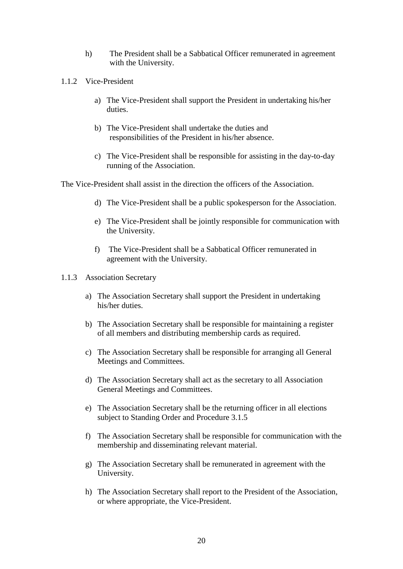- h) The President shall be a Sabbatical Officer remunerated in agreement with the University.
- 1.1.2 Vice-President
	- a) The Vice-President shall support the President in undertaking his/her duties.
	- b) The Vice-President shall undertake the duties and responsibilities of the President in his/her absence.
	- c) The Vice-President shall be responsible for assisting in the day-to-day running of the Association.

The Vice-President shall assist in the direction the officers of the Association.

- d) The Vice-President shall be a public spokesperson for the Association.
- e) The Vice-President shall be jointly responsible for communication with the University.
- f) The Vice-President shall be a Sabbatical Officer remunerated in agreement with the University.
- 1.1.3 Association Secretary
	- a) The Association Secretary shall support the President in undertaking his/her duties.
	- b) The Association Secretary shall be responsible for maintaining a register of all members and distributing membership cards as required.
	- c) The Association Secretary shall be responsible for arranging all General Meetings and Committees.
	- d) The Association Secretary shall act as the secretary to all Association General Meetings and Committees.
	- e) The Association Secretary shall be the returning officer in all elections subject to Standing Order and Procedure 3.1.5
	- f) The Association Secretary shall be responsible for communication with the membership and disseminating relevant material.
	- g) The Association Secretary shall be remunerated in agreement with the University.
	- h) The Association Secretary shall report to the President of the Association, or where appropriate, the Vice-President.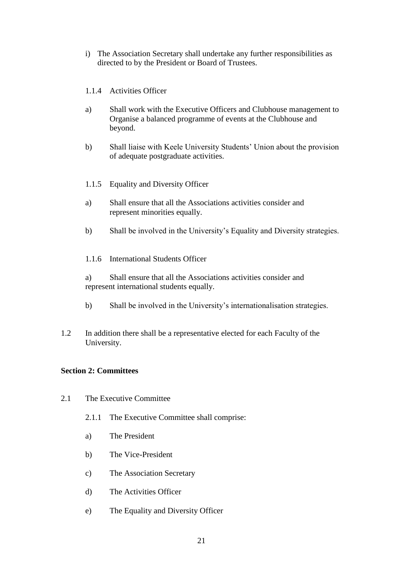- i) The Association Secretary shall undertake any further responsibilities as directed to by the President or Board of Trustees.
- 1.1.4 Activities Officer
- a) Shall work with the Executive Officers and Clubhouse management to Organise a balanced programme of events at the Clubhouse and beyond.
- b) Shall liaise with Keele University Students' Union about the provision of adequate postgraduate activities.
- 1.1.5 Equality and Diversity Officer
- a) Shall ensure that all the Associations activities consider and represent minorities equally.
- b) Shall be involved in the University's Equality and Diversity strategies.
- 1.1.6 International Students Officer

a) Shall ensure that all the Associations activities consider and represent international students equally.

- b) Shall be involved in the University's internationalisation strategies.
- 1.2 In addition there shall be a representative elected for each Faculty of the University.

#### **Section 2: Committees**

- 2.1 The Executive Committee
	- 2.1.1 The Executive Committee shall comprise:
	- a) The President
	- b) The Vice-President
	- c) The Association Secretary
	- d) The Activities Officer
	- e) The Equality and Diversity Officer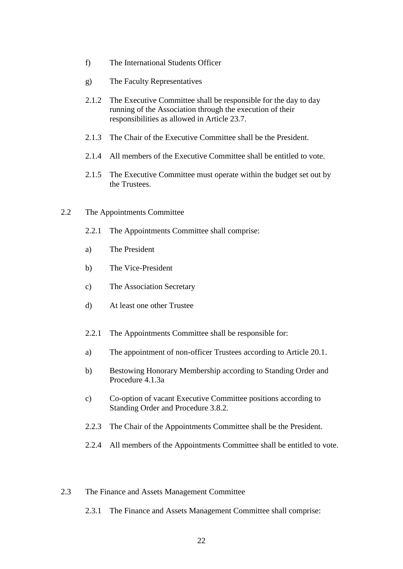- f) The International Students Officer
- g) The Faculty Representatives
- 2.1.2 The Executive Committee shall be responsible for the day to day running of the Association through the execution of their responsibilities as allowed in Article 23.7.
- 2.1.3 The Chair of the Executive Committee shall be the President.
- 2.1.4 All members of the Executive Committee shall be entitled to vote.
- 2.1.5 The Executive Committee must operate within the budget set out by the Trustees.
- 2.2 The Appointments Committee
	- 2.2.1 The Appointments Committee shall comprise:
	- a) The President
	- b) The Vice-President
	- c) The Association Secretary
	- d) At least one other Trustee
	- 2.2.1 The Appointments Committee shall be responsible for:
	- a) The appointment of non-officer Trustees according to Article 20.1.
	- b) Bestowing Honorary Membership according to Standing Order and Procedure 4.1.3a
	- c) Co-option of vacant Executive Committee positions according to Standing Order and Procedure 3.8.2.
	- 2.2.3 The Chair of the Appointments Committee shall be the President.
	- 2.2.4 All members of the Appointments Committee shall be entitled to vote.

#### 2.3 The Finance and Assets Management Committee

2.3.1 The Finance and Assets Management Committee shall comprise: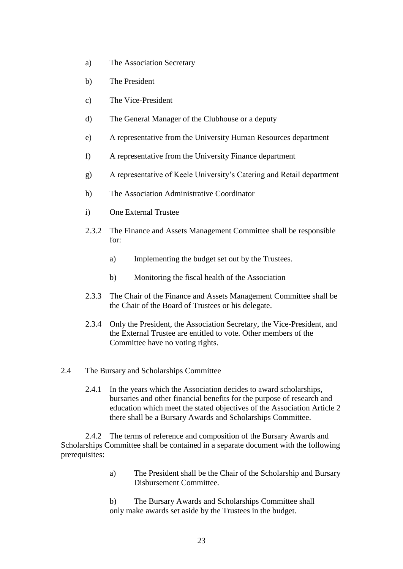- a) The Association Secretary
- b) The President
- c) The Vice-President
- d) The General Manager of the Clubhouse or a deputy
- e) A representative from the University Human Resources department
- f) A representative from the University Finance department
- g) A representative of Keele University's Catering and Retail department
- h) The Association Administrative Coordinator
- i) One External Trustee
- 2.3.2 The Finance and Assets Management Committee shall be responsible for:
	- a) Implementing the budget set out by the Trustees.
	- b) Monitoring the fiscal health of the Association
- 2.3.3 The Chair of the Finance and Assets Management Committee shall be the Chair of the Board of Trustees or his delegate.
- 2.3.4 Only the President, the Association Secretary, the Vice-President, and the External Trustee are entitled to vote. Other members of the Committee have no voting rights.
- 2.4 The Bursary and Scholarships Committee
	- 2.4.1 In the years which the Association decides to award scholarships, bursaries and other financial benefits for the purpose of research and education which meet the stated objectives of the Association Article 2 there shall be a Bursary Awards and Scholarships Committee.

2.4.2 The terms of reference and composition of the Bursary Awards and Scholarships Committee shall be contained in a separate document with the following prerequisites:

- a) The President shall be the Chair of the Scholarship and Bursary Disbursement Committee.
- b) The Bursary Awards and Scholarships Committee shall only make awards set aside by the Trustees in the budget.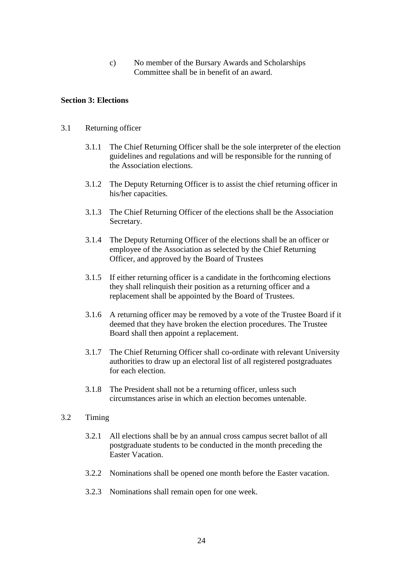c) No member of the Bursary Awards and Scholarships Committee shall be in benefit of an award.

#### **Section 3: Elections**

#### 3.1 Returning officer

- 3.1.1 The Chief Returning Officer shall be the sole interpreter of the election guidelines and regulations and will be responsible for the running of the Association elections.
- 3.1.2 The Deputy Returning Officer is to assist the chief returning officer in his/her capacities.
- 3.1.3 The Chief Returning Officer of the elections shall be the Association Secretary.
- 3.1.4 The Deputy Returning Officer of the elections shall be an officer or employee of the Association as selected by the Chief Returning Officer, and approved by the Board of Trustees
- 3.1.5 If either returning officer is a candidate in the forthcoming elections they shall relinquish their position as a returning officer and a replacement shall be appointed by the Board of Trustees.
- 3.1.6 A returning officer may be removed by a vote of the Trustee Board if it deemed that they have broken the election procedures. The Trustee Board shall then appoint a replacement.
- 3.1.7 The Chief Returning Officer shall co-ordinate with relevant University authorities to draw up an electoral list of all registered postgraduates for each election.
- 3.1.8 The President shall not be a returning officer, unless such circumstances arise in which an election becomes untenable.

#### 3.2 Timing

- 3.2.1 All elections shall be by an annual cross campus secret ballot of all postgraduate students to be conducted in the month preceding the Easter Vacation.
- 3.2.2 Nominations shall be opened one month before the Easter vacation.
- 3.2.3 Nominations shall remain open for one week.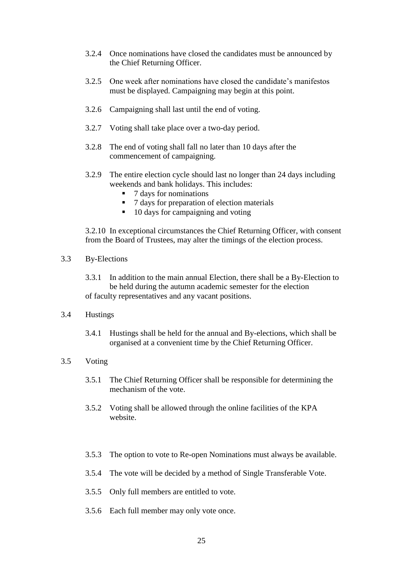- 3.2.4 Once nominations have closed the candidates must be announced by the Chief Returning Officer.
- 3.2.5 One week after nominations have closed the candidate's manifestos must be displayed. Campaigning may begin at this point.
- 3.2.6 Campaigning shall last until the end of voting.
- 3.2.7 Voting shall take place over a two-day period.
- 3.2.8 The end of voting shall fall no later than 10 days after the commencement of campaigning.
- 3.2.9 The entire election cycle should last no longer than 24 days including weekends and bank holidays. This includes:
	- 7 days for nominations
	- 7 days for preparation of election materials
	- 10 days for campaigning and voting

3.2.10 In exceptional circumstances the Chief Returning Officer, with consent from the Board of Trustees, may alter the timings of the election process.

#### 3.3 By-Elections

- 3.3.1 In addition to the main annual Election, there shall be a By-Election to be held during the autumn academic semester for the election of faculty representatives and any vacant positions.
- 3.4 Hustings
	- 3.4.1 Hustings shall be held for the annual and By-elections, which shall be organised at a convenient time by the Chief Returning Officer.

#### 3.5 Voting

- 3.5.1 The Chief Returning Officer shall be responsible for determining the mechanism of the vote.
- 3.5.2 Voting shall be allowed through the online facilities of the KPA website.
- 3.5.3 The option to vote to Re-open Nominations must always be available.
- 3.5.4 The vote will be decided by a method of Single Transferable Vote.
- 3.5.5 Only full members are entitled to vote.
- 3.5.6 Each full member may only vote once.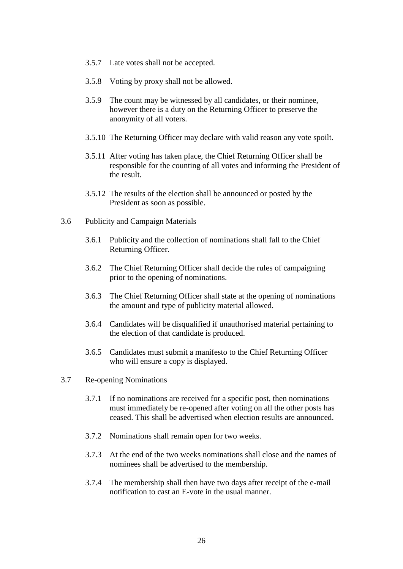- 3.5.7 Late votes shall not be accepted.
- 3.5.8 Voting by proxy shall not be allowed.
- 3.5.9 The count may be witnessed by all candidates, or their nominee, however there is a duty on the Returning Officer to preserve the anonymity of all voters.
- 3.5.10 The Returning Officer may declare with valid reason any vote spoilt.
- 3.5.11 After voting has taken place, the Chief Returning Officer shall be responsible for the counting of all votes and informing the President of the result.
- 3.5.12 The results of the election shall be announced or posted by the President as soon as possible.
- 3.6 Publicity and Campaign Materials
	- 3.6.1 Publicity and the collection of nominations shall fall to the Chief Returning Officer.
	- 3.6.2 The Chief Returning Officer shall decide the rules of campaigning prior to the opening of nominations.
	- 3.6.3 The Chief Returning Officer shall state at the opening of nominations the amount and type of publicity material allowed.
	- 3.6.4 Candidates will be disqualified if unauthorised material pertaining to the election of that candidate is produced.
	- 3.6.5 Candidates must submit a manifesto to the Chief Returning Officer who will ensure a copy is displayed.
- 3.7 Re-opening Nominations
	- 3.7.1 If no nominations are received for a specific post, then nominations must immediately be re-opened after voting on all the other posts has ceased. This shall be advertised when election results are announced.
	- 3.7.2 Nominations shall remain open for two weeks.
	- 3.7.3 At the end of the two weeks nominations shall close and the names of nominees shall be advertised to the membership.
	- 3.7.4 The membership shall then have two days after receipt of the e-mail notification to cast an E-vote in the usual manner.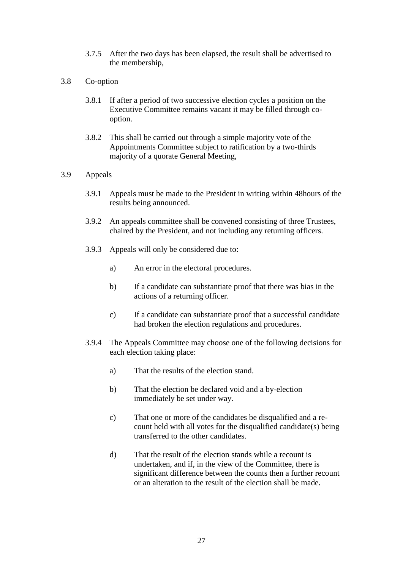- 3.7.5 After the two days has been elapsed, the result shall be advertised to the membership,
- 3.8 Co-option
	- 3.8.1 If after a period of two successive election cycles a position on the Executive Committee remains vacant it may be filled through cooption.
	- 3.8.2 This shall be carried out through a simple majority vote of the Appointments Committee subject to ratification by a two-thirds majority of a quorate General Meeting,

#### 3.9 Appeals

- 3.9.1 Appeals must be made to the President in writing within 48hours of the results being announced.
- 3.9.2 An appeals committee shall be convened consisting of three Trustees, chaired by the President, and not including any returning officers.
- 3.9.3 Appeals will only be considered due to:
	- a) An error in the electoral procedures.
	- b) If a candidate can substantiate proof that there was bias in the actions of a returning officer.
	- c) If a candidate can substantiate proof that a successful candidate had broken the election regulations and procedures.
- 3.9.4 The Appeals Committee may choose one of the following decisions for each election taking place:
	- a) That the results of the election stand.
	- b) That the election be declared void and a by-election immediately be set under way.
	- c) That one or more of the candidates be disqualified and a recount held with all votes for the disqualified candidate(s) being transferred to the other candidates.
	- d) That the result of the election stands while a recount is undertaken, and if, in the view of the Committee, there is significant difference between the counts then a further recount or an alteration to the result of the election shall be made.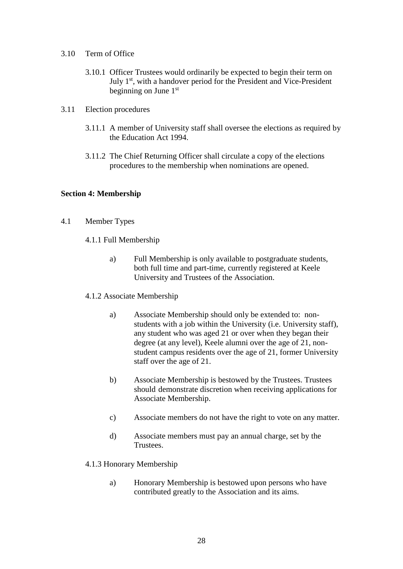- 3.10 Term of Office
	- 3.10.1 Officer Trustees would ordinarily be expected to begin their term on July 1<sup>st</sup>, with a handover period for the President and Vice-President beginning on June 1st
- 3.11 Election procedures
	- 3.11.1 A member of University staff shall oversee the elections as required by the Education Act 1994.
	- 3.11.2 The Chief Returning Officer shall circulate a copy of the elections procedures to the membership when nominations are opened.

#### **Section 4: Membership**

- 4.1 Member Types
	- 4.1.1 Full Membership
		- a) Full Membership is only available to postgraduate students, both full time and part-time, currently registered at Keele University and Trustees of the Association.
	- 4.1.2 Associate Membership
		- a) Associate Membership should only be extended to: nonstudents with a job within the University (i.e. University staff), any student who was aged 21 or over when they began their degree (at any level), Keele alumni over the age of 21, nonstudent campus residents over the age of 21, former University staff over the age of 21.
		- b) Associate Membership is bestowed by the Trustees. Trustees should demonstrate discretion when receiving applications for Associate Membership.
		- c) Associate members do not have the right to vote on any matter.
		- d) Associate members must pay an annual charge, set by the Trustees.

#### 4.1.3 Honorary Membership

a) Honorary Membership is bestowed upon persons who have contributed greatly to the Association and its aims.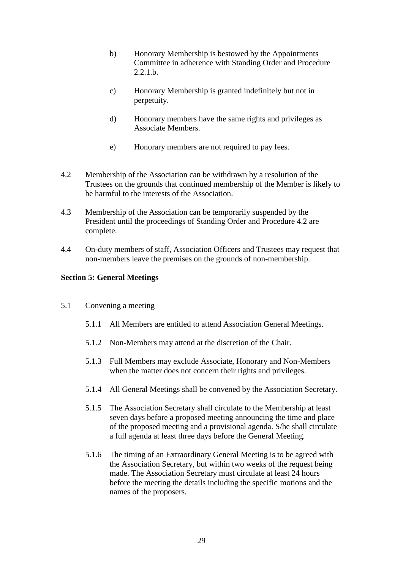- b) Honorary Membership is bestowed by the Appointments Committee in adherence with Standing Order and Procedure  $2.2.1 h.$
- c) Honorary Membership is granted indefinitely but not in perpetuity.
- d) Honorary members have the same rights and privileges as Associate Members.
- e) Honorary members are not required to pay fees.
- 4.2 Membership of the Association can be withdrawn by a resolution of the Trustees on the grounds that continued membership of the Member is likely to be harmful to the interests of the Association.
- 4.3 Membership of the Association can be temporarily suspended by the President until the proceedings of Standing Order and Procedure 4.2 are complete.
- 4.4 On-duty members of staff, Association Officers and Trustees may request that non-members leave the premises on the grounds of non-membership.

#### **Section 5: General Meetings**

- 5.1 Convening a meeting
	- 5.1.1 All Members are entitled to attend Association General Meetings.
	- 5.1.2 Non-Members may attend at the discretion of the Chair.
	- 5.1.3 Full Members may exclude Associate, Honorary and Non-Members when the matter does not concern their rights and privileges.
	- 5.1.4 All General Meetings shall be convened by the Association Secretary.
	- 5.1.5 The Association Secretary shall circulate to the Membership at least seven days before a proposed meeting announcing the time and place of the proposed meeting and a provisional agenda. S/he shall circulate a full agenda at least three days before the General Meeting.
	- 5.1.6 The timing of an Extraordinary General Meeting is to be agreed with the Association Secretary, but within two weeks of the request being made. The Association Secretary must circulate at least 24 hours before the meeting the details including the specific motions and the names of the proposers.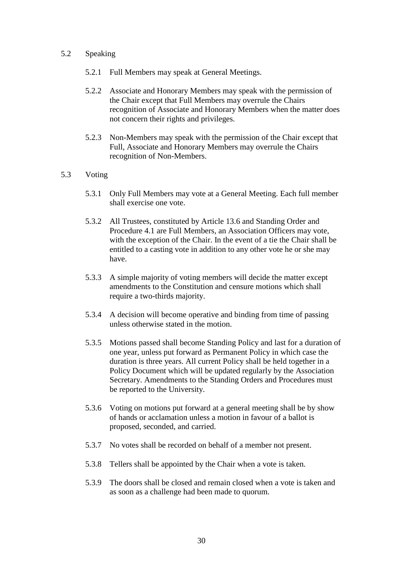#### 5.2 Speaking

- 5.2.1 Full Members may speak at General Meetings.
- 5.2.2 Associate and Honorary Members may speak with the permission of the Chair except that Full Members may overrule the Chairs recognition of Associate and Honorary Members when the matter does not concern their rights and privileges.
- 5.2.3 Non-Members may speak with the permission of the Chair except that Full, Associate and Honorary Members may overrule the Chairs recognition of Non-Members.

#### 5.3 Voting

- 5.3.1 Only Full Members may vote at a General Meeting. Each full member shall exercise one vote.
- 5.3.2 All Trustees, constituted by Article 13.6 and Standing Order and Procedure 4.1 are Full Members, an Association Officers may vote, with the exception of the Chair. In the event of a tie the Chair shall be entitled to a casting vote in addition to any other vote he or she may have.
- 5.3.3 A simple majority of voting members will decide the matter except amendments to the Constitution and censure motions which shall require a two-thirds majority.
- 5.3.4 A decision will become operative and binding from time of passing unless otherwise stated in the motion.
- 5.3.5 Motions passed shall become Standing Policy and last for a duration of one year, unless put forward as Permanent Policy in which case the duration is three years. All current Policy shall be held together in a Policy Document which will be updated regularly by the Association Secretary. Amendments to the Standing Orders and Procedures must be reported to the University.
- 5.3.6 Voting on motions put forward at a general meeting shall be by show of hands or acclamation unless a motion in favour of a ballot is proposed, seconded, and carried.
- 5.3.7 No votes shall be recorded on behalf of a member not present.
- 5.3.8 Tellers shall be appointed by the Chair when a vote is taken.
- 5.3.9 The doors shall be closed and remain closed when a vote is taken and as soon as a challenge had been made to quorum.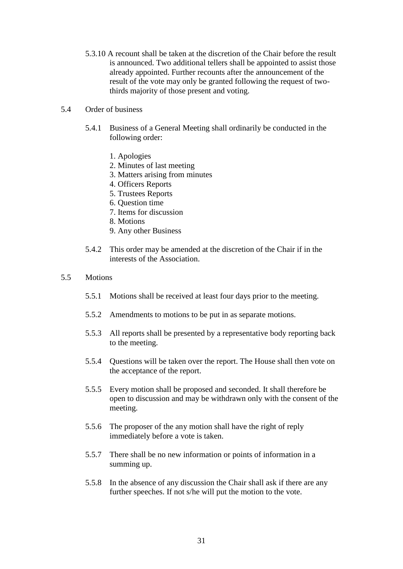5.3.10 A recount shall be taken at the discretion of the Chair before the result is announced. Two additional tellers shall be appointed to assist those already appointed. Further recounts after the announcement of the result of the vote may only be granted following the request of twothirds majority of those present and voting.

#### 5.4 Order of business

- 5.4.1 Business of a General Meeting shall ordinarily be conducted in the following order:
	- 1. Apologies
	- 2. Minutes of last meeting
	- 3. Matters arising from minutes
	- 4. Officers Reports
	- 5. Trustees Reports
	- 6. Question time
	- 7. Items for discussion
	- 8. Motions
	- 9. Any other Business
- 5.4.2 This order may be amended at the discretion of the Chair if in the interests of the Association.

#### 5.5 Motions

- 5.5.1 Motions shall be received at least four days prior to the meeting.
- 5.5.2 Amendments to motions to be put in as separate motions.
- 5.5.3 All reports shall be presented by a representative body reporting back to the meeting.
- 5.5.4 Questions will be taken over the report. The House shall then vote on the acceptance of the report.
- 5.5.5 Every motion shall be proposed and seconded. It shall therefore be open to discussion and may be withdrawn only with the consent of the meeting.
- 5.5.6 The proposer of the any motion shall have the right of reply immediately before a vote is taken.
- 5.5.7 There shall be no new information or points of information in a summing up.
- 5.5.8 In the absence of any discussion the Chair shall ask if there are any further speeches. If not s/he will put the motion to the vote.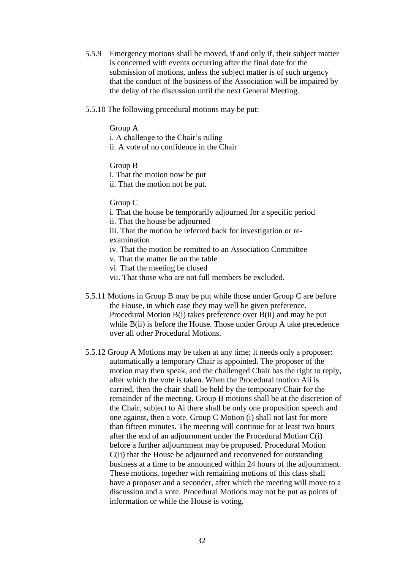- 5.5.9 Emergency motions shall be moved, if and only if, their subject matter is concerned with events occurring after the final date for the submission of motions, unless the subject matter is of such urgency that the conduct of the business of the Association will be impaired by the delay of the discussion until the next General Meeting.
- 5.5.10 The following procedural motions may be put:

Group A i. A challenge to the Chair's ruling ii. A vote of no confidence in the Chair

Group B i. That the motion now be put ii. That the motion not be put.

Group C

i. That the house be temporarily adjourned for a specific period ii. That the house be adjourned iii. That the motion be referred back for investigation or reexamination iv. That the motion be remitted to an Association Committee v. That the matter lie on the table

vi. That the meeting be closed

vii. That those who are not full members be excluded.

- 5.5.11 Motions in Group B may be put while those under Group C are before the House, in which case they may well be given preference. Procedural Motion B(i) takes preference over B(ii) and may be put while B(ii) is before the House. Those under Group A take precedence over all other Procedural Motions.
- 5.5.12 Group A Motions may be taken at any time; it needs only a proposer: automatically a temporary Chair is appointed. The proposer of the motion may then speak, and the challenged Chair has the right to reply, after which the vote is taken. When the Procedural motion Aii is carried, then the chair shall be held by the temporary Chair for the remainder of the meeting. Group B motions shall be at the discretion of the Chair, subject to Ai there shall be only one proposition speech and one against, then a vote. Group C Motion (i) shall not last for more than fifteen minutes. The meeting will continue for at least two hours after the end of an adjournment under the Procedural Motion C(i) before a further adjournment may be proposed. Procedural Motion C(ii) that the House be adjourned and reconvened for outstanding business at a time to be announced within 24 hours of the adjournment. These motions, together with remaining motions of this class shall have a proposer and a seconder, after which the meeting will move to a discussion and a vote. Procedural Motions may not be put as points of information or while the House is voting.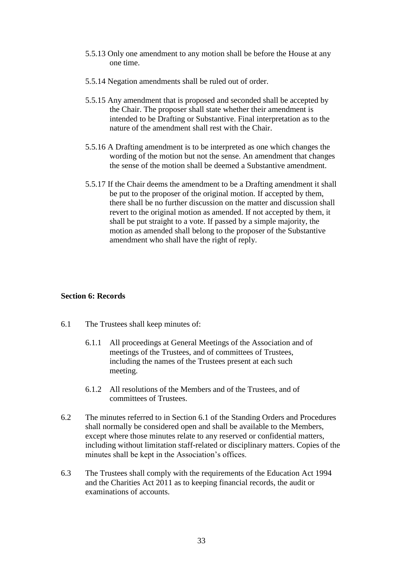- 5.5.13 Only one amendment to any motion shall be before the House at any one time.
- 5.5.14 Negation amendments shall be ruled out of order.
- 5.5.15 Any amendment that is proposed and seconded shall be accepted by the Chair. The proposer shall state whether their amendment is intended to be Drafting or Substantive. Final interpretation as to the nature of the amendment shall rest with the Chair.
- 5.5.16 A Drafting amendment is to be interpreted as one which changes the wording of the motion but not the sense. An amendment that changes the sense of the motion shall be deemed a Substantive amendment.
- 5.5.17 If the Chair deems the amendment to be a Drafting amendment it shall be put to the proposer of the original motion. If accepted by them, there shall be no further discussion on the matter and discussion shall revert to the original motion as amended. If not accepted by them, it shall be put straight to a vote. If passed by a simple majority, the motion as amended shall belong to the proposer of the Substantive amendment who shall have the right of reply.

#### **Section 6: Records**

- 6.1 The Trustees shall keep minutes of:
	- 6.1.1 All proceedings at General Meetings of the Association and of meetings of the Trustees, and of committees of Trustees, including the names of the Trustees present at each such meeting.
	- 6.1.2 All resolutions of the Members and of the Trustees, and of committees of Trustees.
- 6.2 The minutes referred to in Section 6.1 of the Standing Orders and Procedures shall normally be considered open and shall be available to the Members, except where those minutes relate to any reserved or confidential matters, including without limitation staff-related or disciplinary matters. Copies of the minutes shall be kept in the Association's offices.
- 6.3 The Trustees shall comply with the requirements of the Education Act 1994 and the Charities Act 2011 as to keeping financial records, the audit or examinations of accounts.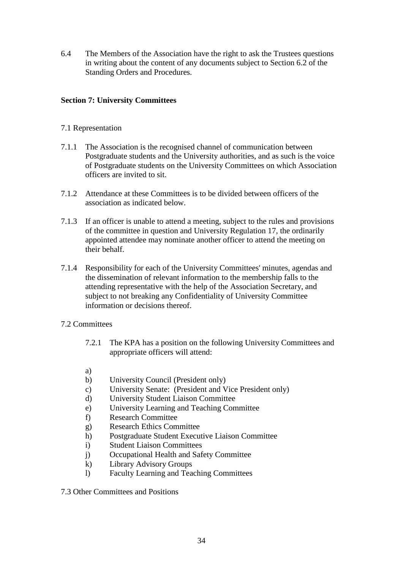6.4 The Members of the Association have the right to ask the Trustees questions in writing about the content of any documents subject to Section 6.2 of the Standing Orders and Procedures.

#### **Section 7: University Committees**

#### 7.1 Representation

- 7.1.1 The Association is the recognised channel of communication between Postgraduate students and the University authorities, and as such is the voice of Postgraduate students on the University Committees on which Association officers are invited to sit.
- 7.1.2 Attendance at these Committees is to be divided between officers of the association as indicated below.
- 7.1.3 If an officer is unable to attend a meeting, subject to the rules and provisions of the committee in question and University Regulation 17, the ordinarily appointed attendee may nominate another officer to attend the meeting on their behalf.
- 7.1.4 Responsibility for each of the University Committees' minutes, agendas and the dissemination of relevant information to the membership falls to the attending representative with the help of the Association Secretary, and subject to not breaking any Confidentiality of University Committee information or decisions thereof.
- 7.2 Committees
	- 7.2.1 The KPA has a position on the following University Committees and appropriate officers will attend:
	- a)
	- b) University Council (President only)
	- c) University Senate: (President and Vice President only)
	- d) University Student Liaison Committee
	- e) University Learning and Teaching Committee
	- f) Research Committee
	- g) Research Ethics Committee
	- h) Postgraduate Student Executive Liaison Committee
	- i) Student Liaison Committees
	- j) Occupational Health and Safety Committee
	- k) Library Advisory Groups
	- l) Faculty Learning and Teaching Committees
- 7.3 Other Committees and Positions